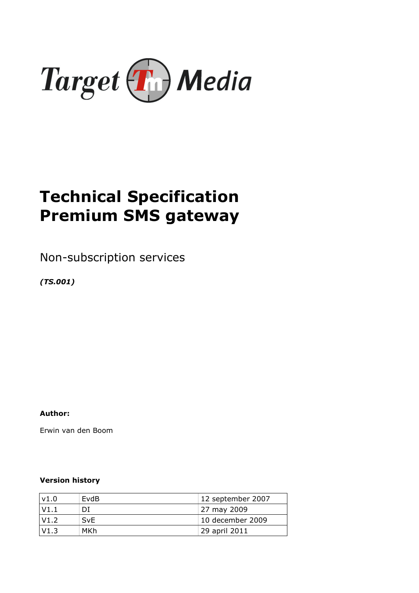

# Technical Specification Premium SMS gateway

Non-subscription services

(TS.001)

Author:

Erwin van den Boom

## Version history

| v1.0 | EvdB       | 12 september 2007 |
|------|------------|-------------------|
| V1.1 | DI         | 27 may 2009       |
| V1.2 | <b>SvE</b> | 10 december 2009  |
| V1.3 | MKh        | 29 april 2011     |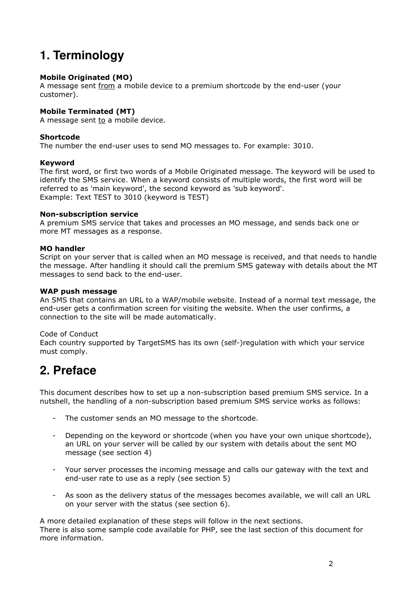## **1. Terminology**

## Mobile Originated (MO)

A message sent from a mobile device to a premium shortcode by the end-user (your customer).

## Mobile Terminated (MT)

A message sent to a mobile device.

### Shortcode

The number the end-user uses to send MO messages to. For example: 3010.

### Keyword

The first word, or first two words of a Mobile Originated message. The keyword will be used to identify the SMS service. When a keyword consists of multiple words, the first word will be referred to as 'main keyword', the second keyword as 'sub keyword'. Example: Text TEST to 3010 (keyword is TEST)

### Non-subscription service

A premium SMS service that takes and processes an MO message, and sends back one or more MT messages as a response.

### MO handler

Script on your server that is called when an MO message is received, and that needs to handle the message. After handling it should call the premium SMS gateway with details about the MT messages to send back to the end-user.

### WAP push message

An SMS that contains an URL to a WAP/mobile website. Instead of a normal text message, the end-user gets a confirmation screen for visiting the website. When the user confirms, a connection to the site will be made automatically.

## Code of Conduct

Each country supported by TargetSMS has its own (self-)regulation with which your service must comply.

## **2. Preface**

This document describes how to set up a non-subscription based premium SMS service. In a nutshell, the handling of a non-subscription based premium SMS service works as follows:

- The customer sends an MO message to the shortcode.
- Depending on the keyword or shortcode (when you have your own unique shortcode), an URL on your server will be called by our system with details about the sent MO message (see section 4)
- Your server processes the incoming message and calls our gateway with the text and end-user rate to use as a reply (see section 5)
- As soon as the delivery status of the messages becomes available, we will call an URL on your server with the status (see section 6).

A more detailed explanation of these steps will follow in the next sections. There is also some sample code available for PHP, see the last section of this document for more information.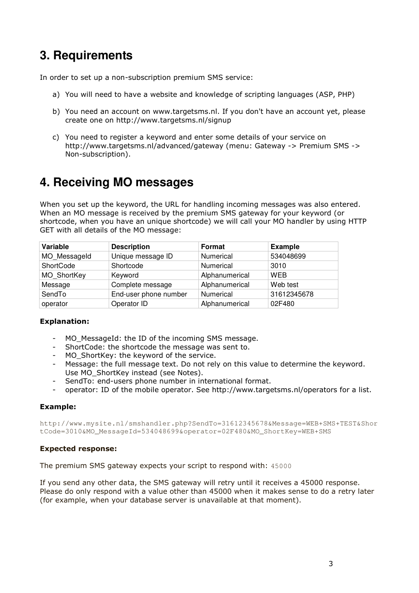## **3. Requirements**

In order to set up a non-subscription premium SMS service:

- a) You will need to have a website and knowledge of scripting languages (ASP, PHP)
- b) You need an account on www.targetsms.nl. If you don't have an account yet, please create one on http://www.targetsms.nl/signup
- c) You need to register a keyword and enter some details of your service on http://www.targetsms.nl/advanced/gateway (menu: Gateway -> Premium SMS -> Non-subscription).

## **4. Receiving MO messages**

When you set up the keyword, the URL for handling incoming messages was also entered. When an MO message is received by the premium SMS gateway for your keyword (or shortcode, when you have an unique shortcode) we will call your MO handler by using HTTP GET with all details of the MO message:

| Variable     | <b>Description</b>    | Format         | <b>Example</b> |
|--------------|-----------------------|----------------|----------------|
| MO Messageld | Unique message ID     | Numerical      | 534048699      |
| ShortCode    | Shortcode             | Numerical      | 3010           |
| MO ShortKey  | Keyword               | Alphanumerical | <b>WEB</b>     |
| Message      | Complete message      | Alphanumerical | Web test       |
| SendTo       | End-user phone number | Numerical      | 31612345678    |
| operator     | Operator ID           | Alphanumerical | 02F480         |

## Explanation:

- MO\_MessageId: the ID of the incoming SMS message.
- ShortCode: the shortcode the message was sent to.
- MO\_ShortKey: the keyword of the service.
- Message: the full message text. Do not rely on this value to determine the keyword. Use MO\_ShortKey instead (see Notes).
- SendTo: end-users phone number in international format.
- operator: ID of the mobile operator. See http://www.targetsms.nl/operators for a list.

## Example:

http://www.mysite.nl/smshandler.php?SendTo=31612345678&Message=WEB+SMS+TEST&Shor tCode=3010&MO\_MessageId=534048699&operator=02F480&MO\_ShortKey=WEB+SMS

#### Expected response:

The premium SMS gateway expects your script to respond with: 45000

If you send any other data, the SMS gateway will retry until it receives a 45000 response. Please do only respond with a value other than 45000 when it makes sense to do a retry later (for example, when your database server is unavailable at that moment).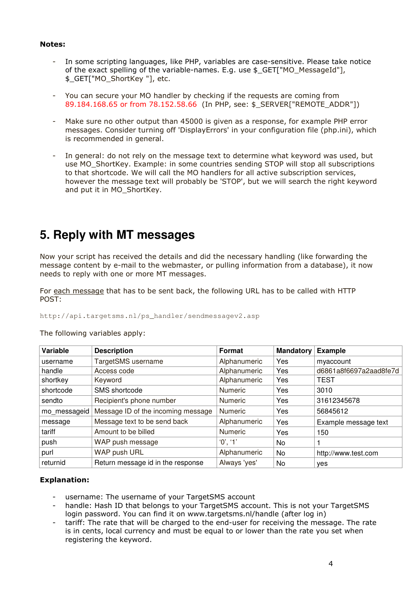#### Notes:

- In some scripting languages, like PHP, variables are case-sensitive. Please take notice of the exact spelling of the variable-names. E.g. use \$\_GET["MO\_MessageId"], \$\_GET["MO\_ShortKey "], etc.
- You can secure your MO handler by checking if the requests are coming from 89.184.168.65 or from 78.152.58.66 (In PHP, see: \$ SERVER["REMOTE\_ADDR"])
- Make sure no other output than 45000 is given as a response, for example PHP error messages. Consider turning off 'DisplayErrors' in your configuration file (php.ini), which is recommended in general.
- In general: do not rely on the message text to determine what keyword was used, but use MO\_ShortKey. Example: in some countries sending STOP will stop all subscriptions to that shortcode. We will call the MO handlers for all active subscription services, however the message text will probably be 'STOP', but we will search the right keyword and put it in MO\_ShortKey.

## **5. Reply with MT messages**

Now your script has received the details and did the necessary handling (like forwarding the message content by e-mail to the webmaster, or pulling information from a database), it now needs to reply with one or more MT messages.

For each message that has to be sent back, the following URL has to be called with HTTP POST:

http://api.targetsms.nl/ps\_handler/sendmessagev2.asp

| <b>Variable</b> | <b>Description</b>                 | <b>Format</b>  | <b>Mandatory</b> | <b>Example</b>         |
|-----------------|------------------------------------|----------------|------------------|------------------------|
| username        | TargetSMS username                 | Alphanumeric   | Yes              | myaccount              |
| handle          | Access code                        | Alphanumeric   | Yes              | d6861a8f6697a2aad8fe7d |
| shortkey        | Keyword                            | Alphanumeric   | Yes              | <b>TEST</b>            |
| shortcode       | SMS shortcode                      | <b>Numeric</b> | Yes              | 3010                   |
| sendto          | Recipient's phone number           | <b>Numeric</b> | Yes              | 31612345678            |
| mo_messageid    | Message ID of the incoming message | <b>Numeric</b> | Yes              | 56845612               |
| message         | Message text to be send back       | Alphanumeric   | Yes              | Example message text   |
| tariff          | Amount to be billed                | <b>Numeric</b> | Yes              | 150                    |
| push            | WAP push message                   | '0', '1'       | No.              |                        |
| purl            | WAP push URL                       | Alphanumeric   | No               | http://www.test.com    |
| returnid        | Return message id in the response  | Always 'yes'   | No.              | ves                    |

The following variables apply:

## Explanation:

- username: The username of your TargetSMS account
- handle: Hash ID that belongs to your TargetSMS account. This is not your TargetSMS login password. You can find it on www.targetsms.nl/handle (after log in)
- tariff: The rate that will be charged to the end-user for receiving the message. The rate is in cents, local currency and must be equal to or lower than the rate you set when registering the keyword.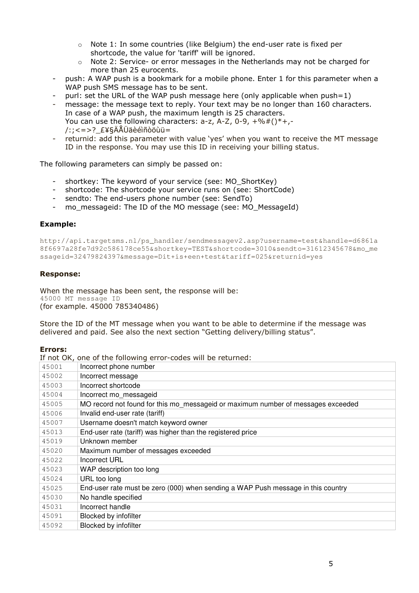- $\circ$  Note 1: In some countries (like Belgium) the end-user rate is fixed per shortcode, the value for 'tariff' will be ignored.
- $\circ$  Note 2: Service- or error messages in the Netherlands may not be charged for more than 25 eurocents.
- push: A WAP push is a bookmark for a mobile phone. Enter 1 for this parameter when a WAP push SMS message has to be sent.
- purl: set the URL of the WAP push message here (only applicable when push=1)
- message: the message text to reply. Your text may be no longer than 160 characters. In case of a WAP push, the maximum length is 25 characters. You can use the following characters:  $a-z$ ,  $A-Z$ ,  $0-9$ ,  $+\%#()^*$ +,- $/$ :; < = >? £¥§ÄÅÜäèéìñòöùü=
- returnid: add this parameter with value 'yes' when you want to receive the MT message ID in the response. You may use this ID in receiving your billing status.

The following parameters can simply be passed on:

- shortkey: The keyword of your service (see: MO\_ShortKey)
- shortcode: The shortcode your service runs on (see: ShortCode)
- sendto: The end-users phone number (see: SendTo)
- mo\_messageid: The ID of the MO message (see: MO\_MessageId)

#### Example:

http://api.targetsms.nl/ps\_handler/sendmessagev2.asp?username=test&handle=d6861a 8f6697a28fe7d92c586178ce55&shortkey=TEST&shortcode=3010&sendto=31612345678&mo\_me ssageid=32479824397&message=Dit+is+een+test&tariff=025&returnid=yes

#### Response:

When the message has been sent, the response will be: 45000 MT message ID (for example. 45000 785340486)

Store the ID of the MT message when you want to be able to determine if the message was delivered and paid. See also the next section "Getting delivery/billing status".

#### Errors:

|       | If not OK, one of the following error-codes will be returned:                    |
|-------|----------------------------------------------------------------------------------|
| 45001 | Incorrect phone number                                                           |
| 45002 | Incorrect message                                                                |
| 45003 | Incorrect shortcode                                                              |
| 45004 | Incorrect mo messageid                                                           |
| 45005 | MO record not found for this mo messageid or maximum number of messages exceeded |
| 45006 | Invalid end-user rate (tariff)                                                   |
| 45007 | Username doesn't match keyword owner                                             |
| 45013 | End-user rate (tariff) was higher than the registered price                      |
| 45019 | Unknown member                                                                   |
| 45020 | Maximum number of messages exceeded                                              |
| 45022 | Incorrect URL                                                                    |
| 45023 | WAP description too long                                                         |
| 45024 | URL too long                                                                     |
| 45025 | End-user rate must be zero (000) when sending a WAP Push message in this country |
| 45030 | No handle specified                                                              |
| 45031 | Incorrect handle                                                                 |
| 45091 | Blocked by infofilter                                                            |
| 45092 | Blocked by infofilter                                                            |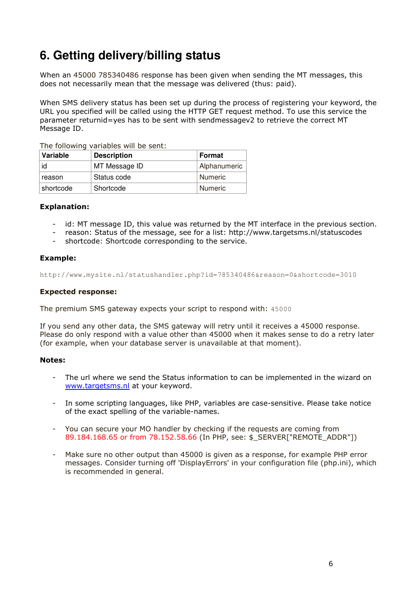## **6. Getting delivery/billing status**

When an 45000 785340486 response has been given when sending the MT messages, this does not necessarily mean that the message was delivered (thus: paid).

When SMS delivery status has been set up during the process of registering your keyword, the URL you specified will be called using the HTTP GET request method. To use this service the parameter returnid=yes has to be sent with sendmessagev2 to retrieve the correct MT Message ID.

The following variables will be sent:

| Variable  | <b>Description</b> | Format       |
|-----------|--------------------|--------------|
| id        | MT Message ID      | Alphanumeric |
| reason    | Status code        | Numeric      |
| shortcode | Shortcode          | Numeric      |

#### Explanation:

- id: MT message ID, this value was returned by the MT interface in the previous section.
- reason: Status of the message, see for a list: http://www.targetsms.nl/statuscodes
- shortcode: Shortcode corresponding to the service.

### Example:

http://www.mysite.nl/statushandler.php?id=785340486&reason=0&shortcode=3010

#### Expected response:

The premium SMS gateway expects your script to respond with: 45000

If you send any other data, the SMS gateway will retry until it receives a 45000 response. Please do only respond with a value other than 45000 when it makes sense to do a retry later (for example, when your database server is unavailable at that moment).

#### Notes:

- The url where we send the Status information to can be implemented in the wizard on www.targetsms.nl at your keyword.
- In some scripting languages, like PHP, variables are case-sensitive. Please take notice of the exact spelling of the variable-names.
- You can secure your MO handler by checking if the requests are coming from 89.184.168.65 or from 78.152.58.66 (In PHP, see: \$\_SERVER["REMOTE\_ADDR"])
- Make sure no other output than 45000 is given as a response, for example PHP error messages. Consider turning off 'DisplayErrors' in your configuration file (php.ini), which is recommended in general.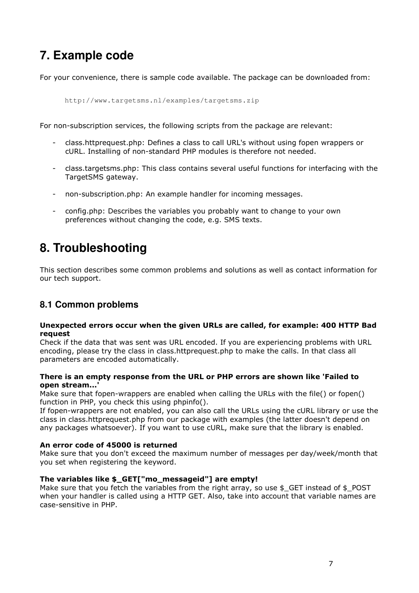## **7. Example code**

For your convenience, there is sample code available. The package can be downloaded from:

http://www.targetsms.nl/examples/targetsms.zip

For non-subscription services, the following scripts from the package are relevant:

- class.httprequest.php: Defines a class to call URL's without using fopen wrappers or cURL. Installing of non-standard PHP modules is therefore not needed.
- class.targetsms.php: This class contains several useful functions for interfacing with the TargetSMS gateway.
- non-subscription.php: An example handler for incoming messages.
- config.php: Describes the variables you probably want to change to your own preferences without changing the code, e.g. SMS texts.

## **8. Troubleshooting**

This section describes some common problems and solutions as well as contact information for our tech support.

## **8.1 Common problems**

#### Unexpected errors occur when the given URLs are called, for example: 400 HTTP Bad request

Check if the data that was sent was URL encoded. If you are experiencing problems with URL encoding, please try the class in class.httprequest.php to make the calls. In that class all parameters are encoded automatically.

#### There is an empty response from the URL or PHP errors are shown like 'Failed to open stream...'

Make sure that fopen-wrappers are enabled when calling the URLs with the file() or fopen() function in PHP, you check this using phpinfo().

If fopen-wrappers are not enabled, you can also call the URLs using the cURL library or use the class in class.httprequest.php from our package with examples (the latter doesn't depend on any packages whatsoever). If you want to use cURL, make sure that the library is enabled.

#### An error code of 45000 is returned

Make sure that you don't exceed the maximum number of messages per day/week/month that you set when registering the keyword.

#### The variables like \$\_GET["mo\_messageid"] are empty!

Make sure that you fetch the variables from the right array, so use  $$$  GET instead of  $$$  POST when your handler is called using a HTTP GET. Also, take into account that variable names are case-sensitive in PHP.